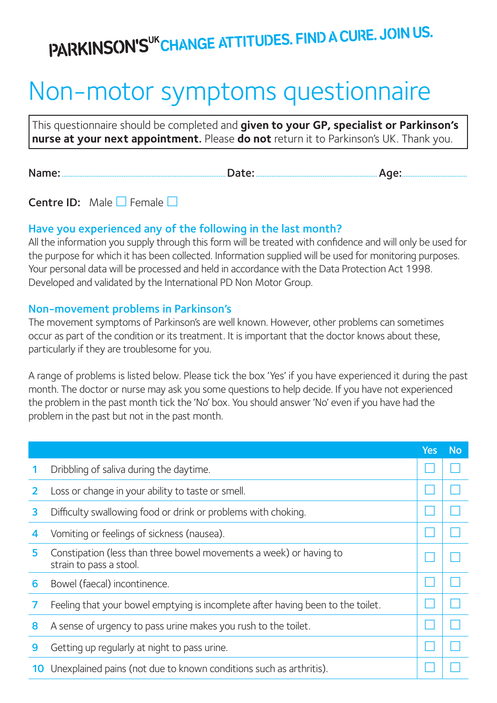## PARKINSON'SUK CHANGE ATTITUDES. FIND A CURE. JOIN US.

## Non-motor symptoms questionnaire

This questionnaire should be completed and **given to your GP, specialist or Parkinson's nurse at your next appointment**. Please **do not** return it to Parkinson's UK. Thank you.

Name:.............................................................................................Date:.....................................................................Age:.....................................

**Centre ID:** Male  $\Box$  Female  $\Box$ 

## Have you experienced any of the following in the last month?

All the information you supply through this form will be treated with confidence and will only be used for the purpose for which it has been collected. Information supplied will be used for monitoring purposes. Your personal data will be processed and held in accordance with the Data Protection Act 1998. Developed and validated by the International PD Non Motor Group.

## Non-movement problems in Parkinson's

The movement symptoms of Parkinson's are well known. However, other problems can sometimes occur as part of the condition or its treatment. It is important that the doctor knows about these, particularly if they are troublesome for you.

A range of problems is listed below. Please tick the box 'Yes' if you have experienced it during the past month. The doctor or nurse may ask you some questions to help decide. If you have not experienced the problem in the past month tick the 'No' box. You should answer 'No' even if you have had the problem in the past but not in the past month.

|    |                                                                                               | Yes | No |
|----|-----------------------------------------------------------------------------------------------|-----|----|
|    | Dribbling of saliva during the daytime.                                                       |     |    |
|    | Loss or change in your ability to taste or smell.                                             |     |    |
| 3  | Difficulty swallowing food or drink or problems with choking.                                 |     |    |
| 4  | Vomiting or feelings of sickness (nausea).                                                    |     |    |
| 5. | Constipation (less than three bowel movements a week) or having to<br>strain to pass a stool. |     |    |
| 6  | Bowel (faecal) incontinence.                                                                  |     |    |
|    | Feeling that your bowel emptying is incomplete after having been to the toilet.               |     |    |
| 8  | A sense of urgency to pass urine makes you rush to the toilet.                                |     |    |
| 9  | Getting up regularly at night to pass urine.                                                  |     |    |
| 10 | Unexplained pains (not due to known conditions such as arthritis).                            |     |    |